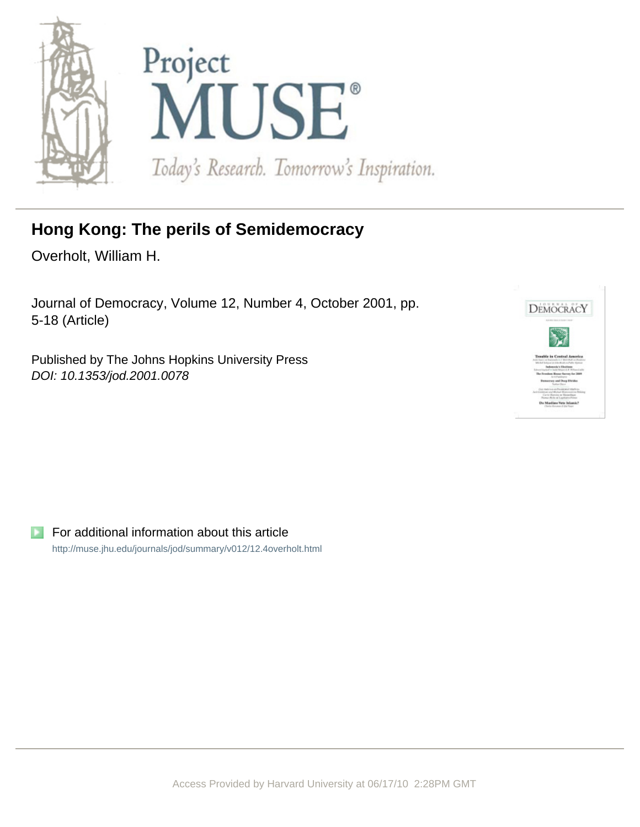

# **Hong Kong: The perils of Semidemocracy**

Overholt, William H.

Journal of Democracy, Volume 12, Number 4, October 2001, pp. 5-18 (Article)

Published by The Johns Hopkins University Press DOI: 10.1353/jod.2001.0078



For additional information about this article <http://muse.jhu.edu/journals/jod/summary/v012/12.4overholt.html>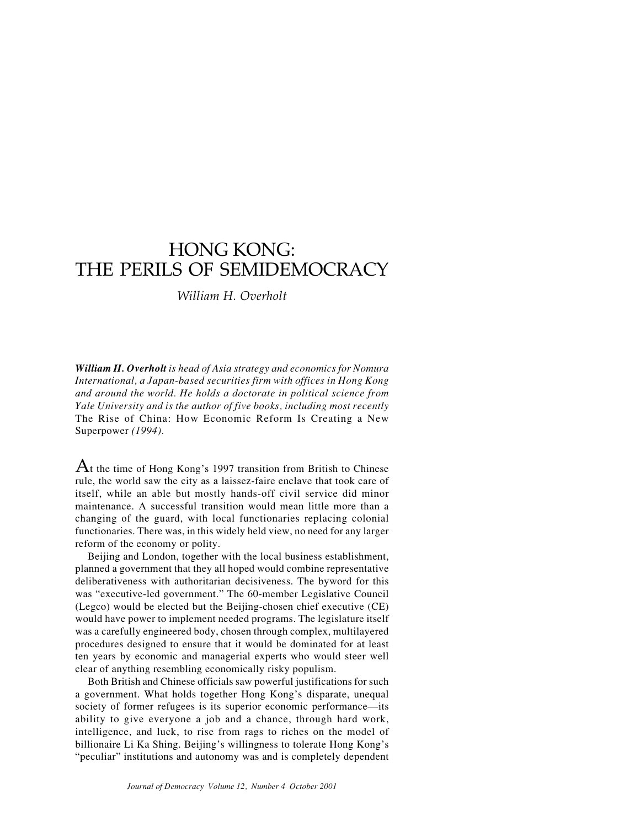## HONG KONG: THE PERILS OF SEMIDEMOCRACY

*William H. Overholt*

*William H. Overholt is head of Asia strategy and economics for Nomura International, a Japan-based securities firm with offices in Hong Kong and around the world. He holds a doctorate in political science from Yale University and is the author of five books, including most recently* The Rise of China: How Economic Reform Is Creating a New Superpower *(1994).*

 $A$ t the time of Hong Kong's 1997 transition from British to Chinese rule, the world saw the city as a laissez-faire enclave that took care of itself, while an able but mostly hands-off civil service did minor maintenance. A successful transition would mean little more than a changing of the guard, with local functionaries replacing colonial functionaries. There was, in this widely held view, no need for any larger reform of the economy or polity.

Beijing and London, together with the local business establishment, planned a government that they all hoped would combine representative deliberativeness with authoritarian decisiveness. The byword for this was "executive-led government." The 60-member Legislative Council (Legco) would be elected but the Beijing-chosen chief executive (CE) would have power to implement needed programs. The legislature itself was a carefully engineered body, chosen through complex, multilayered procedures designed to ensure that it would be dominated for at least ten years by economic and managerial experts who would steer well clear of anything resembling economically risky populism.

Both British and Chinese officials saw powerful justifications for such a government. What holds together Hong Kong's disparate, unequal society of former refugees is its superior economic performance—its ability to give everyone a job and a chance, through hard work, intelligence, and luck, to rise from rags to riches on the model of billionaire Li Ka Shing. Beijing's willingness to tolerate Hong Kong's "peculiar" institutions and autonomy was and is completely dependent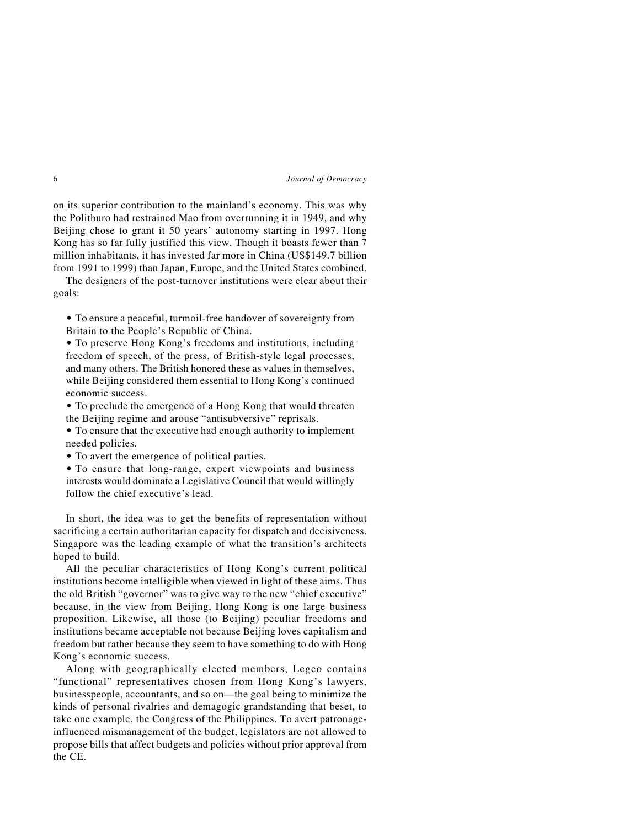on its superior contribution to the mainland's economy. This was why the Politburo had restrained Mao from overrunning it in 1949, and why Beijing chose to grant it 50 years' autonomy starting in 1997. Hong Kong has so far fully justified this view. Though it boasts fewer than 7 million inhabitants, it has invested far more in China (US\$149.7 billion from 1991 to 1999) than Japan, Europe, and the United States combined.

The designers of the post-turnover institutions were clear about their goals:

• To ensure a peaceful, turmoil-free handover of sovereignty from Britain to the People's Republic of China.

• To preserve Hong Kong's freedoms and institutions, including freedom of speech, of the press, of British-style legal processes, and many others. The British honored these as values in themselves, while Beijing considered them essential to Hong Kong's continued economic success.

• To preclude the emergence of a Hong Kong that would threaten the Beijing regime and arouse "antisubversive" reprisals.

• To ensure that the executive had enough authority to implement needed policies.

• To avert the emergence of political parties.

• To ensure that long-range, expert viewpoints and business interests would dominate a Legislative Council that would willingly follow the chief executive's lead.

In short, the idea was to get the benefits of representation without sacrificing a certain authoritarian capacity for dispatch and decisiveness. Singapore was the leading example of what the transition's architects hoped to build.

All the peculiar characteristics of Hong Kong's current political institutions become intelligible when viewed in light of these aims. Thus the old British "governor" was to give way to the new "chief executive" because, in the view from Beijing, Hong Kong is one large business proposition. Likewise, all those (to Beijing) peculiar freedoms and institutions became acceptable not because Beijing loves capitalism and freedom but rather because they seem to have something to do with Hong Kong's economic success.

Along with geographically elected members, Legco contains "functional" representatives chosen from Hong Kong's lawyers, businesspeople, accountants, and so on—the goal being to minimize the kinds of personal rivalries and demagogic grandstanding that beset, to take one example, the Congress of the Philippines. To avert patronageinfluenced mismanagement of the budget, legislators are not allowed to propose bills that affect budgets and policies without prior approval from the CE.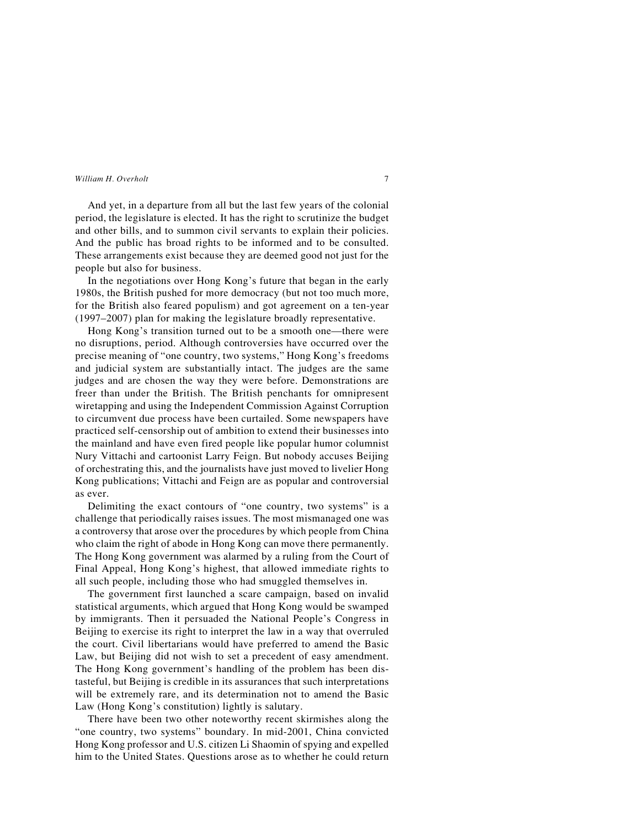And yet, in a departure from all but the last few years of the colonial period, the legislature is elected. It has the right to scrutinize the budget and other bills, and to summon civil servants to explain their policies. And the public has broad rights to be informed and to be consulted. These arrangements exist because they are deemed good not just for the people but also for business.

In the negotiations over Hong Kong's future that began in the early 1980s, the British pushed for more democracy (but not too much more, for the British also feared populism) and got agreement on a ten-year (1997–2007) plan for making the legislature broadly representative.

Hong Kong's transition turned out to be a smooth one—there were no disruptions, period. Although controversies have occurred over the precise meaning of "one country, two systems," Hong Kong's freedoms and judicial system are substantially intact. The judges are the same judges and are chosen the way they were before. Demonstrations are freer than under the British. The British penchants for omnipresent wiretapping and using the Independent Commission Against Corruption to circumvent due process have been curtailed. Some newspapers have practiced self-censorship out of ambition to extend their businesses into the mainland and have even fired people like popular humor columnist Nury Vittachi and cartoonist Larry Feign. But nobody accuses Beijing of orchestrating this, and the journalists have just moved to livelier Hong Kong publications; Vittachi and Feign are as popular and controversial as ever.

Delimiting the exact contours of "one country, two systems" is a challenge that periodically raises issues. The most mismanaged one was a controversy that arose over the procedures by which people from China who claim the right of abode in Hong Kong can move there permanently. The Hong Kong government was alarmed by a ruling from the Court of Final Appeal, Hong Kong's highest, that allowed immediate rights to all such people, including those who had smuggled themselves in.

The government first launched a scare campaign, based on invalid statistical arguments, which argued that Hong Kong would be swamped by immigrants. Then it persuaded the National People's Congress in Beijing to exercise its right to interpret the law in a way that overruled the court. Civil libertarians would have preferred to amend the Basic Law, but Beijing did not wish to set a precedent of easy amendment. The Hong Kong government's handling of the problem has been distasteful, but Beijing is credible in its assurances that such interpretations will be extremely rare, and its determination not to amend the Basic Law (Hong Kong's constitution) lightly is salutary.

There have been two other noteworthy recent skirmishes along the "one country, two systems" boundary. In mid-2001, China convicted Hong Kong professor and U.S. citizen Li Shaomin of spying and expelled him to the United States. Questions arose as to whether he could return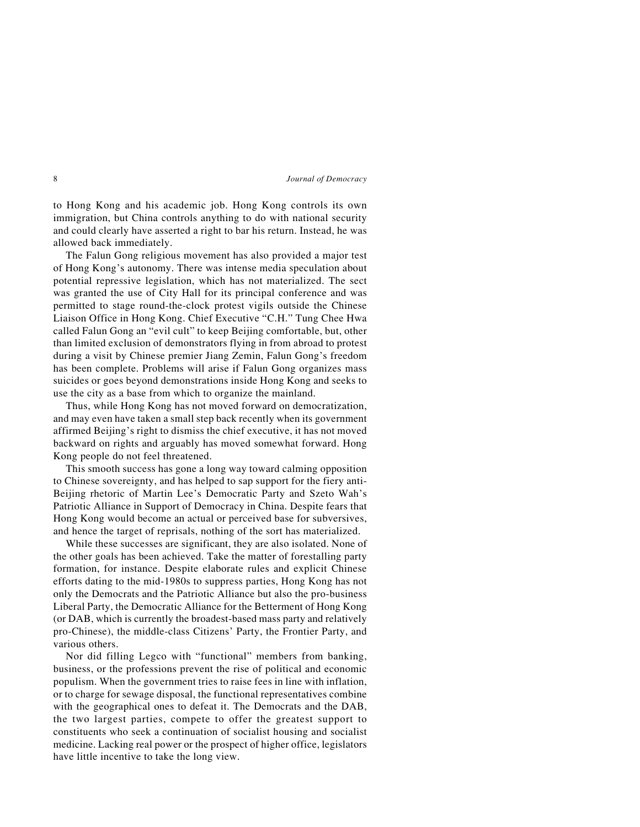to Hong Kong and his academic job. Hong Kong controls its own immigration, but China controls anything to do with national security and could clearly have asserted a right to bar his return. Instead, he was allowed back immediately.

The Falun Gong religious movement has also provided a major test of Hong Kong's autonomy. There was intense media speculation about potential repressive legislation, which has not materialized. The sect was granted the use of City Hall for its principal conference and was permitted to stage round-the-clock protest vigils outside the Chinese Liaison Office in Hong Kong. Chief Executive "C.H." Tung Chee Hwa called Falun Gong an "evil cult" to keep Beijing comfortable, but, other than limited exclusion of demonstrators flying in from abroad to protest during a visit by Chinese premier Jiang Zemin, Falun Gong's freedom has been complete. Problems will arise if Falun Gong organizes mass suicides or goes beyond demonstrations inside Hong Kong and seeks to use the city as a base from which to organize the mainland.

Thus, while Hong Kong has not moved forward on democratization, and may even have taken a small step back recently when its government affirmed Beijing's right to dismiss the chief executive, it has not moved backward on rights and arguably has moved somewhat forward. Hong Kong people do not feel threatened.

This smooth success has gone a long way toward calming opposition to Chinese sovereignty, and has helped to sap support for the fiery anti-Beijing rhetoric of Martin Lee's Democratic Party and Szeto Wah's Patriotic Alliance in Support of Democracy in China. Despite fears that Hong Kong would become an actual or perceived base for subversives, and hence the target of reprisals, nothing of the sort has materialized.

While these successes are significant, they are also isolated. None of the other goals has been achieved. Take the matter of forestalling party formation, for instance. Despite elaborate rules and explicit Chinese efforts dating to the mid-1980s to suppress parties, Hong Kong has not only the Democrats and the Patriotic Alliance but also the pro-business Liberal Party, the Democratic Alliance for the Betterment of Hong Kong (or DAB, which is currently the broadest-based mass party and relatively pro-Chinese), the middle-class Citizens' Party, the Frontier Party, and various others.

Nor did filling Legco with "functional" members from banking, business, or the professions prevent the rise of political and economic populism. When the government tries to raise fees in line with inflation, or to charge for sewage disposal, the functional representatives combine with the geographical ones to defeat it. The Democrats and the DAB, the two largest parties, compete to offer the greatest support to constituents who seek a continuation of socialist housing and socialist medicine. Lacking real power or the prospect of higher office, legislators have little incentive to take the long view.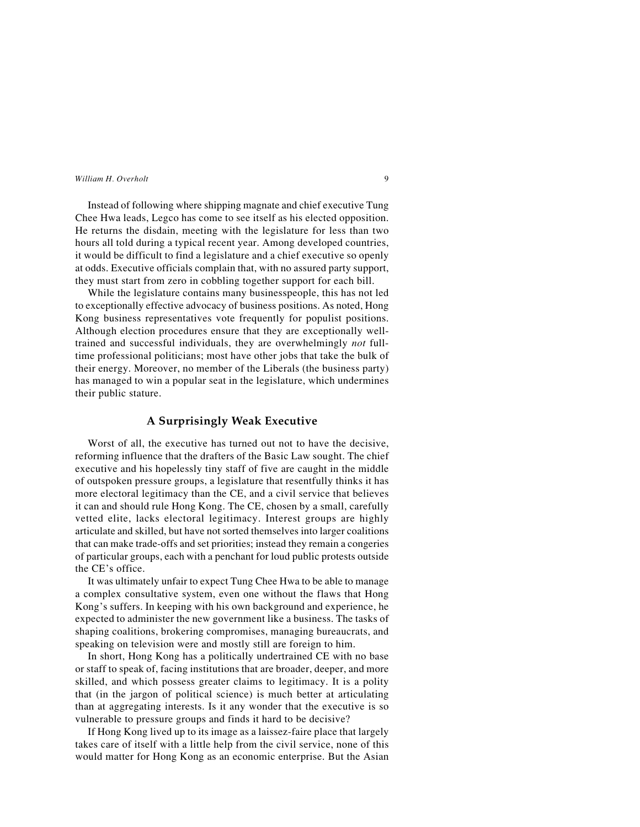Instead of following where shipping magnate and chief executive Tung Chee Hwa leads, Legco has come to see itself as his elected opposition. He returns the disdain, meeting with the legislature for less than two hours all told during a typical recent year. Among developed countries, it would be difficult to find a legislature and a chief executive so openly at odds. Executive officials complain that, with no assured party support, they must start from zero in cobbling together support for each bill.

While the legislature contains many businesspeople, this has not led to exceptionally effective advocacy of business positions. As noted, Hong Kong business representatives vote frequently for populist positions. Although election procedures ensure that they are exceptionally welltrained and successful individuals, they are overwhelmingly *not* fulltime professional politicians; most have other jobs that take the bulk of their energy. Moreover, no member of the Liberals (the business party) has managed to win a popular seat in the legislature, which undermines their public stature.

## **A Surprisingly Weak Executive**

Worst of all, the executive has turned out not to have the decisive, reforming influence that the drafters of the Basic Law sought. The chief executive and his hopelessly tiny staff of five are caught in the middle of outspoken pressure groups, a legislature that resentfully thinks it has more electoral legitimacy than the CE, and a civil service that believes it can and should rule Hong Kong. The CE, chosen by a small, carefully vetted elite, lacks electoral legitimacy. Interest groups are highly articulate and skilled, but have not sorted themselves into larger coalitions that can make trade-offs and set priorities; instead they remain a congeries of particular groups, each with a penchant for loud public protests outside the CE's office.

It was ultimately unfair to expect Tung Chee Hwa to be able to manage a complex consultative system, even one without the flaws that Hong Kong's suffers. In keeping with his own background and experience, he expected to administer the new government like a business. The tasks of shaping coalitions, brokering compromises, managing bureaucrats, and speaking on television were and mostly still are foreign to him.

In short, Hong Kong has a politically undertrained CE with no base or staff to speak of, facing institutions that are broader, deeper, and more skilled, and which possess greater claims to legitimacy. It is a polity that (in the jargon of political science) is much better at articulating than at aggregating interests. Is it any wonder that the executive is so vulnerable to pressure groups and finds it hard to be decisive?

If Hong Kong lived up to its image as a laissez-faire place that largely takes care of itself with a little help from the civil service, none of this would matter for Hong Kong as an economic enterprise. But the Asian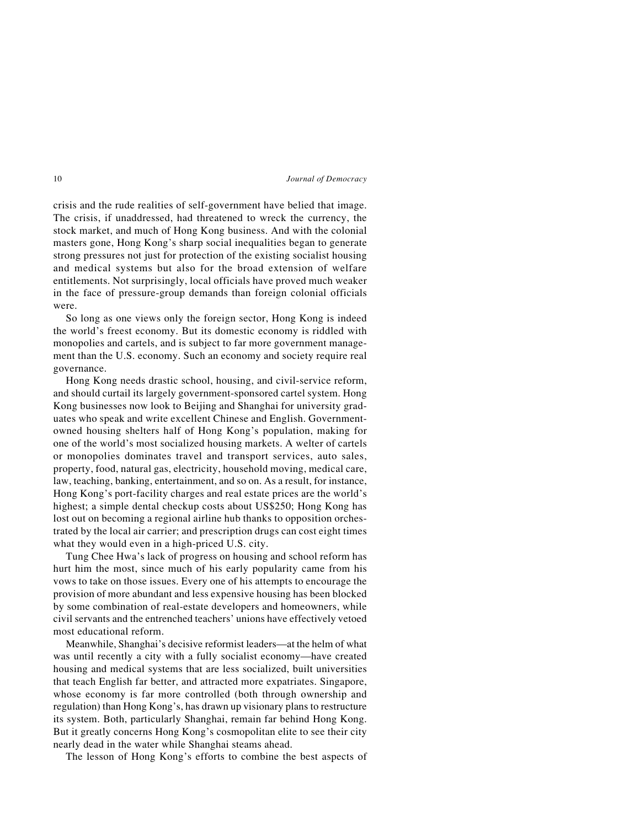crisis and the rude realities of self-government have belied that image. The crisis, if unaddressed, had threatened to wreck the currency, the stock market, and much of Hong Kong business. And with the colonial masters gone, Hong Kong's sharp social inequalities began to generate strong pressures not just for protection of the existing socialist housing and medical systems but also for the broad extension of welfare entitlements. Not surprisingly, local officials have proved much weaker in the face of pressure-group demands than foreign colonial officials were.

So long as one views only the foreign sector, Hong Kong is indeed the world's freest economy. But its domestic economy is riddled with monopolies and cartels, and is subject to far more government management than the U.S. economy. Such an economy and society require real governance.

Hong Kong needs drastic school, housing, and civil-service reform, and should curtail its largely government-sponsored cartel system. Hong Kong businesses now look to Beijing and Shanghai for university graduates who speak and write excellent Chinese and English. Governmentowned housing shelters half of Hong Kong's population, making for one of the world's most socialized housing markets. A welter of cartels or monopolies dominates travel and transport services, auto sales, property, food, natural gas, electricity, household moving, medical care, law, teaching, banking, entertainment, and so on. As a result, for instance, Hong Kong's port-facility charges and real estate prices are the world's highest; a simple dental checkup costs about US\$250; Hong Kong has lost out on becoming a regional airline hub thanks to opposition orchestrated by the local air carrier; and prescription drugs can cost eight times what they would even in a high-priced U.S. city.

Tung Chee Hwa's lack of progress on housing and school reform has hurt him the most, since much of his early popularity came from his vows to take on those issues. Every one of his attempts to encourage the provision of more abundant and less expensive housing has been blocked by some combination of real-estate developers and homeowners, while civil servants and the entrenched teachers' unions have effectively vetoed most educational reform.

Meanwhile, Shanghai's decisive reformist leaders—at the helm of what was until recently a city with a fully socialist economy—have created housing and medical systems that are less socialized, built universities that teach English far better, and attracted more expatriates. Singapore, whose economy is far more controlled (both through ownership and regulation) than Hong Kong's, has drawn up visionary plans to restructure its system. Both, particularly Shanghai, remain far behind Hong Kong. But it greatly concerns Hong Kong's cosmopolitan elite to see their city nearly dead in the water while Shanghai steams ahead.

The lesson of Hong Kong's efforts to combine the best aspects of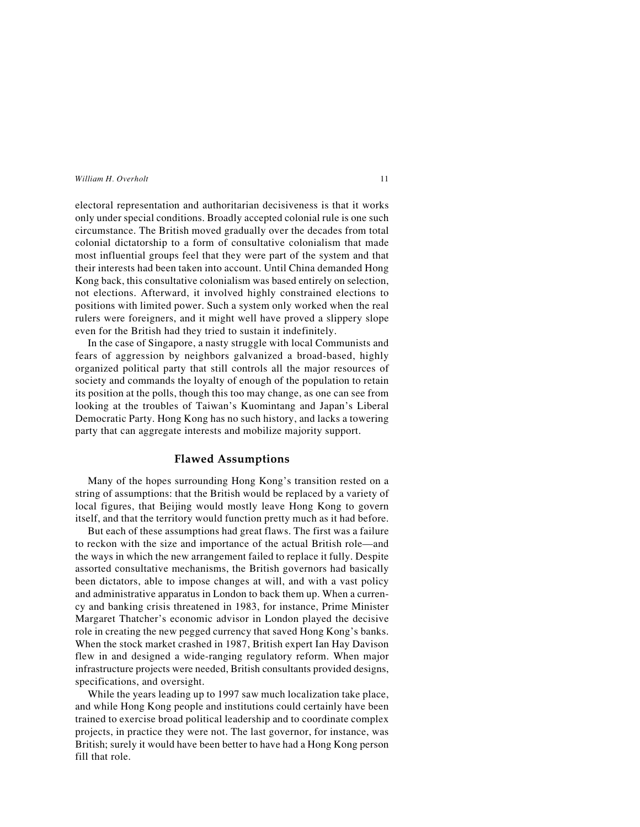electoral representation and authoritarian decisiveness is that it works only under special conditions. Broadly accepted colonial rule is one such circumstance. The British moved gradually over the decades from total colonial dictatorship to a form of consultative colonialism that made most influential groups feel that they were part of the system and that their interests had been taken into account. Until China demanded Hong Kong back, this consultative colonialism was based entirely on selection, not elections. Afterward, it involved highly constrained elections to positions with limited power. Such a system only worked when the real rulers were foreigners, and it might well have proved a slippery slope even for the British had they tried to sustain it indefinitely.

In the case of Singapore, a nasty struggle with local Communists and fears of aggression by neighbors galvanized a broad-based, highly organized political party that still controls all the major resources of society and commands the loyalty of enough of the population to retain its position at the polls, though this too may change, as one can see from looking at the troubles of Taiwan's Kuomintang and Japan's Liberal Democratic Party. Hong Kong has no such history, and lacks a towering party that can aggregate interests and mobilize majority support.

## **Flawed Assumptions**

Many of the hopes surrounding Hong Kong's transition rested on a string of assumptions: that the British would be replaced by a variety of local figures, that Beijing would mostly leave Hong Kong to govern itself, and that the territory would function pretty much as it had before.

But each of these assumptions had great flaws. The first was a failure to reckon with the size and importance of the actual British role—and the ways in which the new arrangement failed to replace it fully. Despite assorted consultative mechanisms, the British governors had basically been dictators, able to impose changes at will, and with a vast policy and administrative apparatus in London to back them up. When a currency and banking crisis threatened in 1983, for instance, Prime Minister Margaret Thatcher's economic advisor in London played the decisive role in creating the new pegged currency that saved Hong Kong's banks. When the stock market crashed in 1987, British expert Ian Hay Davison flew in and designed a wide-ranging regulatory reform. When major infrastructure projects were needed, British consultants provided designs, specifications, and oversight.

While the years leading up to 1997 saw much localization take place, and while Hong Kong people and institutions could certainly have been trained to exercise broad political leadership and to coordinate complex projects, in practice they were not. The last governor, for instance, was British; surely it would have been better to have had a Hong Kong person fill that role.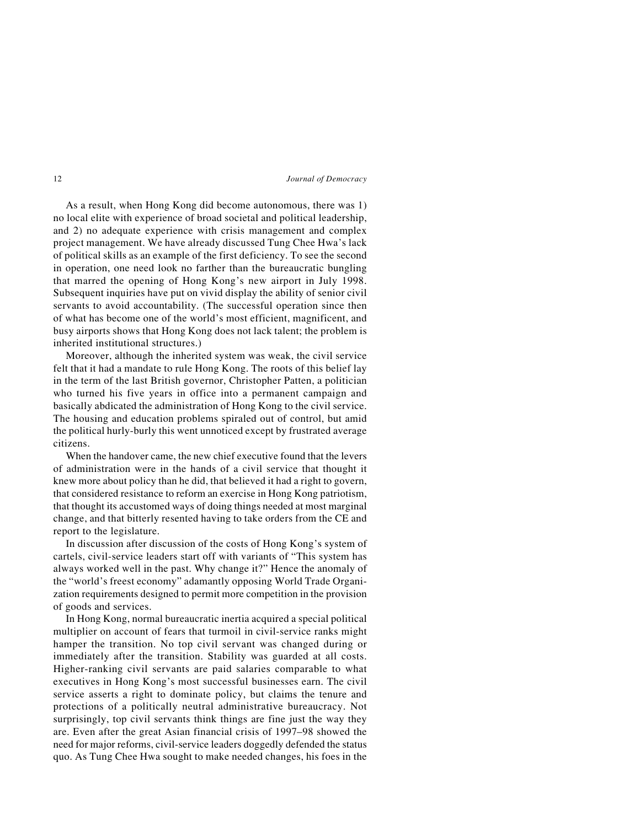As a result, when Hong Kong did become autonomous, there was 1) no local elite with experience of broad societal and political leadership, and 2) no adequate experience with crisis management and complex project management. We have already discussed Tung Chee Hwa's lack of political skills as an example of the first deficiency. To see the second in operation, one need look no farther than the bureaucratic bungling that marred the opening of Hong Kong's new airport in July 1998. Subsequent inquiries have put on vivid display the ability of senior civil servants to avoid accountability. (The successful operation since then of what has become one of the world's most efficient, magnificent, and busy airports shows that Hong Kong does not lack talent; the problem is inherited institutional structures.)

Moreover, although the inherited system was weak, the civil service felt that it had a mandate to rule Hong Kong. The roots of this belief lay in the term of the last British governor, Christopher Patten, a politician who turned his five years in office into a permanent campaign and basically abdicated the administration of Hong Kong to the civil service. The housing and education problems spiraled out of control, but amid the political hurly-burly this went unnoticed except by frustrated average citizens.

When the handover came, the new chief executive found that the levers of administration were in the hands of a civil service that thought it knew more about policy than he did, that believed it had a right to govern, that considered resistance to reform an exercise in Hong Kong patriotism, that thought its accustomed ways of doing things needed at most marginal change, and that bitterly resented having to take orders from the CE and report to the legislature.

In discussion after discussion of the costs of Hong Kong's system of cartels, civil-service leaders start off with variants of "This system has always worked well in the past. Why change it?" Hence the anomaly of the "world's freest economy" adamantly opposing World Trade Organization requirements designed to permit more competition in the provision of goods and services.

In Hong Kong, normal bureaucratic inertia acquired a special political multiplier on account of fears that turmoil in civil-service ranks might hamper the transition. No top civil servant was changed during or immediately after the transition. Stability was guarded at all costs. Higher-ranking civil servants are paid salaries comparable to what executives in Hong Kong's most successful businesses earn. The civil service asserts a right to dominate policy, but claims the tenure and protections of a politically neutral administrative bureaucracy. Not surprisingly, top civil servants think things are fine just the way they are. Even after the great Asian financial crisis of 1997–98 showed the need for major reforms, civil-service leaders doggedly defended the status quo. As Tung Chee Hwa sought to make needed changes, his foes in the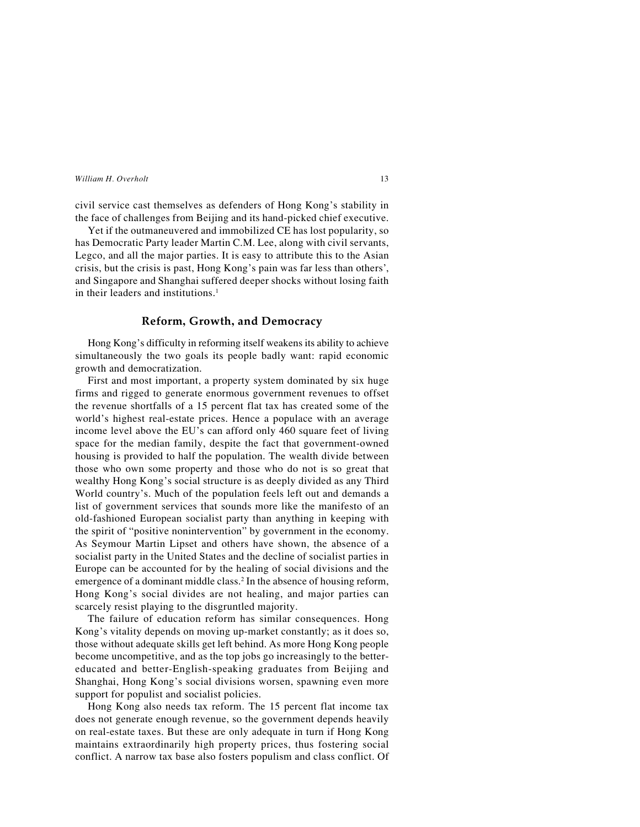civil service cast themselves as defenders of Hong Kong's stability in the face of challenges from Beijing and its hand-picked chief executive.

Yet if the outmaneuvered and immobilized CE has lost popularity, so has Democratic Party leader Martin C.M. Lee, along with civil servants, Legco, and all the major parties. It is easy to attribute this to the Asian crisis, but the crisis is past, Hong Kong's pain was far less than others', and Singapore and Shanghai suffered deeper shocks without losing faith in their leaders and institutions.<sup>1</sup>

## **Reform, Growth, and Democracy**

Hong Kong's difficulty in reforming itself weakens its ability to achieve simultaneously the two goals its people badly want: rapid economic growth and democratization.

First and most important, a property system dominated by six huge firms and rigged to generate enormous government revenues to offset the revenue shortfalls of a 15 percent flat tax has created some of the world's highest real-estate prices. Hence a populace with an average income level above the EU's can afford only 460 square feet of living space for the median family, despite the fact that government-owned housing is provided to half the population. The wealth divide between those who own some property and those who do not is so great that wealthy Hong Kong's social structure is as deeply divided as any Third World country's. Much of the population feels left out and demands a list of government services that sounds more like the manifesto of an old-fashioned European socialist party than anything in keeping with the spirit of "positive nonintervention" by government in the economy. As Seymour Martin Lipset and others have shown, the absence of a socialist party in the United States and the decline of socialist parties in Europe can be accounted for by the healing of social divisions and the emergence of a dominant middle class.<sup>2</sup> In the absence of housing reform, Hong Kong's social divides are not healing, and major parties can scarcely resist playing to the disgruntled majority.

The failure of education reform has similar consequences. Hong Kong's vitality depends on moving up-market constantly; as it does so, those without adequate skills get left behind. As more Hong Kong people become uncompetitive, and as the top jobs go increasingly to the bettereducated and better-English-speaking graduates from Beijing and Shanghai, Hong Kong's social divisions worsen, spawning even more support for populist and socialist policies.

Hong Kong also needs tax reform. The 15 percent flat income tax does not generate enough revenue, so the government depends heavily on real-estate taxes. But these are only adequate in turn if Hong Kong maintains extraordinarily high property prices, thus fostering social conflict. A narrow tax base also fosters populism and class conflict. Of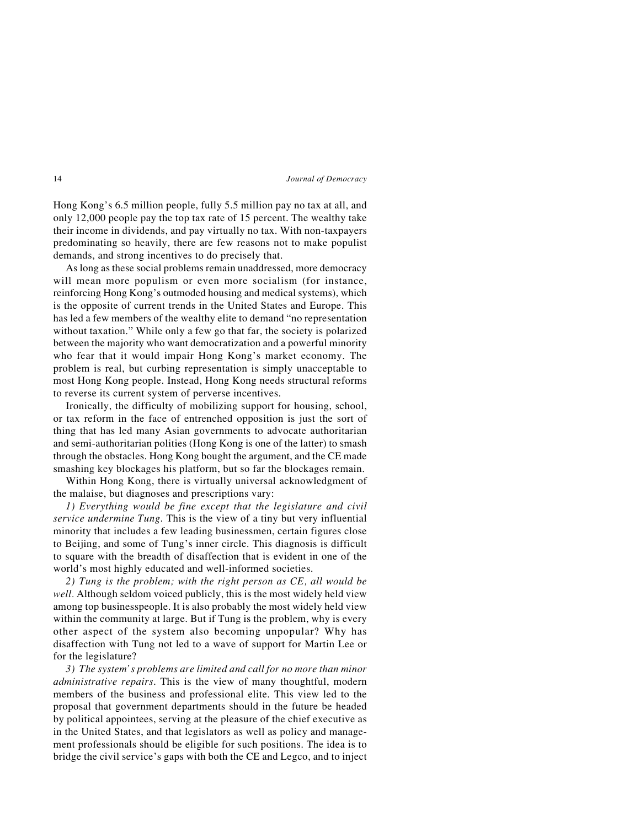Hong Kong's 6.5 million people, fully 5.5 million pay no tax at all, and only 12,000 people pay the top tax rate of 15 percent. The wealthy take their income in dividends, and pay virtually no tax. With non-taxpayers predominating so heavily, there are few reasons not to make populist demands, and strong incentives to do precisely that.

As long as these social problems remain unaddressed, more democracy will mean more populism or even more socialism (for instance, reinforcing Hong Kong's outmoded housing and medical systems), which is the opposite of current trends in the United States and Europe. This has led a few members of the wealthy elite to demand "no representation without taxation." While only a few go that far, the society is polarized between the majority who want democratization and a powerful minority who fear that it would impair Hong Kong's market economy. The problem is real, but curbing representation is simply unacceptable to most Hong Kong people. Instead, Hong Kong needs structural reforms to reverse its current system of perverse incentives.

Ironically, the difficulty of mobilizing support for housing, school, or tax reform in the face of entrenched opposition is just the sort of thing that has led many Asian governments to advocate authoritarian and semi-authoritarian polities (Hong Kong is one of the latter) to smash through the obstacles. Hong Kong bought the argument, and the CE made smashing key blockages his platform, but so far the blockages remain.

Within Hong Kong, there is virtually universal acknowledgment of the malaise, but diagnoses and prescriptions vary:

*1) Everything would be fine except that the legislature and civil service undermine Tung*. This is the view of a tiny but very influential minority that includes a few leading businessmen, certain figures close to Beijing, and some of Tung's inner circle. This diagnosis is difficult to square with the breadth of disaffection that is evident in one of the world's most highly educated and well-informed societies.

*2) Tung is the problem; with the right person as CE, all would be well.* Although seldom voiced publicly, this is the most widely held view among top businesspeople. It is also probably the most widely held view within the community at large. But if Tung is the problem, why is every other aspect of the system also becoming unpopular? Why has disaffection with Tung not led to a wave of support for Martin Lee or for the legislature?

*3) The system's problems are limited and call for no more than minor administrative repairs*. This is the view of many thoughtful, modern members of the business and professional elite. This view led to the proposal that government departments should in the future be headed by political appointees, serving at the pleasure of the chief executive as in the United States, and that legislators as well as policy and management professionals should be eligible for such positions. The idea is to bridge the civil service's gaps with both the CE and Legco, and to inject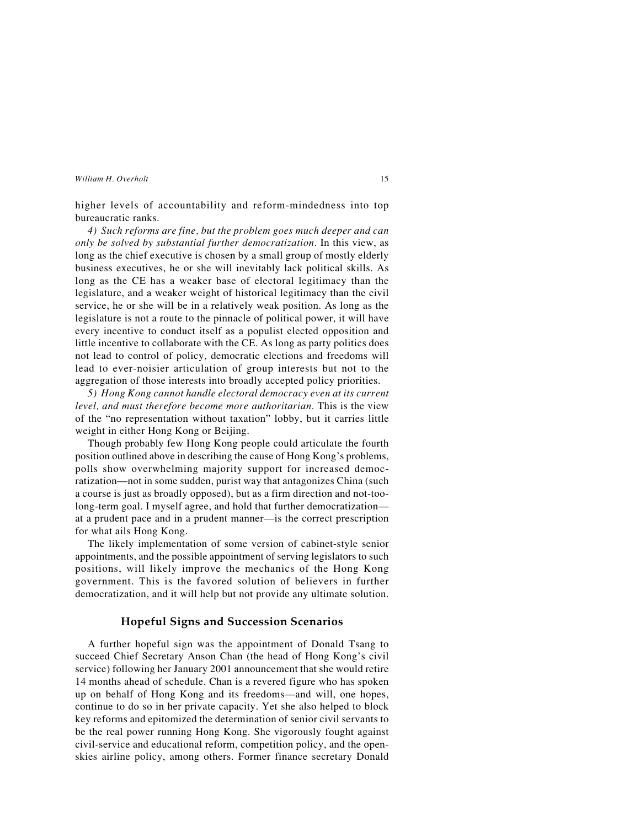higher levels of accountability and reform-mindedness into top bureaucratic ranks.

*4) Such reforms are fine, but the problem goes much deeper and can only be solved by substantial further democratization*. In this view, as long as the chief executive is chosen by a small group of mostly elderly business executives, he or she will inevitably lack political skills. As long as the CE has a weaker base of electoral legitimacy than the legislature, and a weaker weight of historical legitimacy than the civil service, he or she will be in a relatively weak position. As long as the legislature is not a route to the pinnacle of political power, it will have every incentive to conduct itself as a populist elected opposition and little incentive to collaborate with the CE. As long as party politics does not lead to control of policy, democratic elections and freedoms will lead to ever-noisier articulation of group interests but not to the aggregation of those interests into broadly accepted policy priorities.

*5) Hong Kong cannot handle electoral democracy even at its current level, and must therefore become more authoritarian.* This is the view of the "no representation without taxation" lobby, but it carries little weight in either Hong Kong or Beijing.

Though probably few Hong Kong people could articulate the fourth position outlined above in describing the cause of Hong Kong's problems, polls show overwhelming majority support for increased democratization—not in some sudden, purist way that antagonizes China (such a course is just as broadly opposed), but as a firm direction and not-toolong-term goal. I myself agree, and hold that further democratization at a prudent pace and in a prudent manner—is the correct prescription for what ails Hong Kong.

The likely implementation of some version of cabinet-style senior appointments, and the possible appointment of serving legislators to such positions, will likely improve the mechanics of the Hong Kong government. This is the favored solution of believers in further democratization, and it will help but not provide any ultimate solution.

## **Hopeful Signs and Succession Scenarios**

A further hopeful sign was the appointment of Donald Tsang to succeed Chief Secretary Anson Chan (the head of Hong Kong's civil service) following her January 2001 announcement that she would retire 14 months ahead of schedule. Chan is a revered figure who has spoken up on behalf of Hong Kong and its freedoms—and will, one hopes, continue to do so in her private capacity. Yet she also helped to block key reforms and epitomized the determination of senior civil servants to be the real power running Hong Kong. She vigorously fought against civil-service and educational reform, competition policy, and the openskies airline policy, among others. Former finance secretary Donald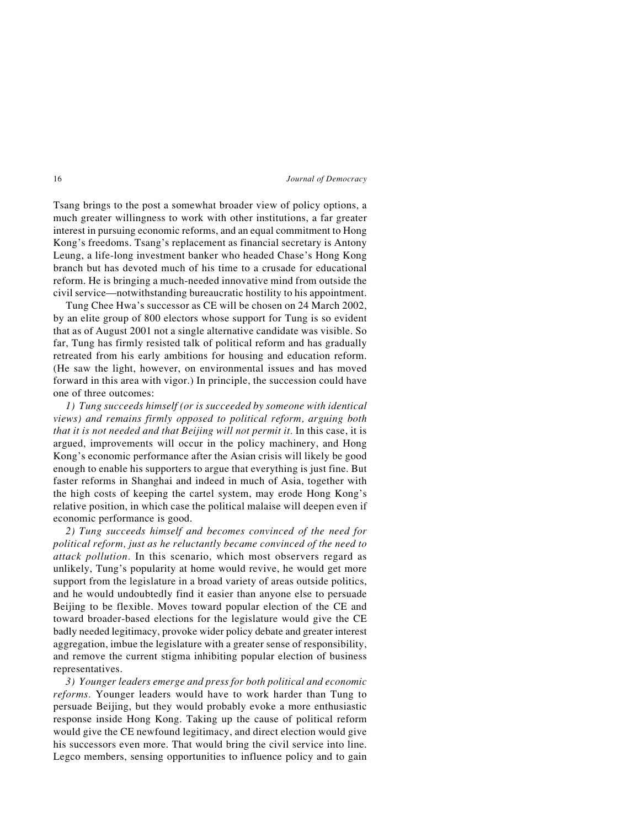Tsang brings to the post a somewhat broader view of policy options, a much greater willingness to work with other institutions, a far greater interest in pursuing economic reforms, and an equal commitment to Hong Kong's freedoms. Tsang's replacement as financial secretary is Antony Leung, a life-long investment banker who headed Chase's Hong Kong branch but has devoted much of his time to a crusade for educational reform. He is bringing a much-needed innovative mind from outside the civil service—notwithstanding bureaucratic hostility to his appointment.

Tung Chee Hwa's successor as CE will be chosen on 24 March 2002, by an elite group of 800 electors whose support for Tung is so evident that as of August 2001 not a single alternative candidate was visible. So far, Tung has firmly resisted talk of political reform and has gradually retreated from his early ambitions for housing and education reform. (He saw the light, however, on environmental issues and has moved forward in this area with vigor.) In principle, the succession could have one of three outcomes:

*1) Tung succeeds himself (or is succeeded by someone with identical views) and remains firmly opposed to political reform, arguing both that it is not needed and that Beijing will not permit it.* In this case, it is argued, improvements will occur in the policy machinery, and Hong Kong's economic performance after the Asian crisis will likely be good enough to enable his supporters to argue that everything is just fine. But faster reforms in Shanghai and indeed in much of Asia, together with the high costs of keeping the cartel system, may erode Hong Kong's relative position, in which case the political malaise will deepen even if economic performance is good.

*2) Tung succeeds himself and becomes convinced of the need for political reform, just as he reluctantly became convinced of the need to attack pollution.* In this scenario, which most observers regard as unlikely, Tung's popularity at home would revive, he would get more support from the legislature in a broad variety of areas outside politics, and he would undoubtedly find it easier than anyone else to persuade Beijing to be flexible. Moves toward popular election of the CE and toward broader-based elections for the legislature would give the CE badly needed legitimacy, provoke wider policy debate and greater interest aggregation, imbue the legislature with a greater sense of responsibility, and remove the current stigma inhibiting popular election of business representatives.

*3) Younger leaders emerge and press for both political and economic reforms.* Younger leaders would have to work harder than Tung to persuade Beijing, but they would probably evoke a more enthusiastic response inside Hong Kong. Taking up the cause of political reform would give the CE newfound legitimacy, and direct election would give his successors even more. That would bring the civil service into line. Legco members, sensing opportunities to influence policy and to gain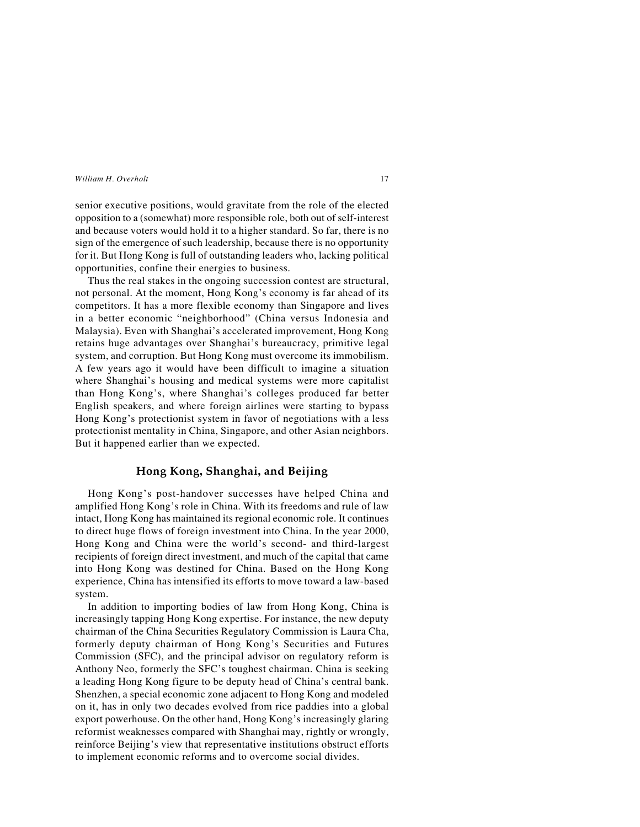senior executive positions, would gravitate from the role of the elected opposition to a (somewhat) more responsible role, both out of self-interest and because voters would hold it to a higher standard. So far, there is no sign of the emergence of such leadership, because there is no opportunity for it. But Hong Kong is full of outstanding leaders who, lacking political opportunities, confine their energies to business.

Thus the real stakes in the ongoing succession contest are structural, not personal. At the moment, Hong Kong's economy is far ahead of its competitors. It has a more flexible economy than Singapore and lives in a better economic "neighborhood" (China versus Indonesia and Malaysia). Even with Shanghai's accelerated improvement, Hong Kong retains huge advantages over Shanghai's bureaucracy, primitive legal system, and corruption. But Hong Kong must overcome its immobilism. A few years ago it would have been difficult to imagine a situation where Shanghai's housing and medical systems were more capitalist than Hong Kong's, where Shanghai's colleges produced far better English speakers, and where foreign airlines were starting to bypass Hong Kong's protectionist system in favor of negotiations with a less protectionist mentality in China, Singapore, and other Asian neighbors. But it happened earlier than we expected.

## **Hong Kong, Shanghai, and Beijing**

Hong Kong's post-handover successes have helped China and amplified Hong Kong's role in China. With its freedoms and rule of law intact, Hong Kong has maintained its regional economic role. It continues to direct huge flows of foreign investment into China. In the year 2000, Hong Kong and China were the world's second- and third-largest recipients of foreign direct investment, and much of the capital that came into Hong Kong was destined for China. Based on the Hong Kong experience, China has intensified its efforts to move toward a law-based system.

In addition to importing bodies of law from Hong Kong, China is increasingly tapping Hong Kong expertise. For instance, the new deputy chairman of the China Securities Regulatory Commission is Laura Cha, formerly deputy chairman of Hong Kong's Securities and Futures Commission (SFC), and the principal advisor on regulatory reform is Anthony Neo, formerly the SFC's toughest chairman. China is seeking a leading Hong Kong figure to be deputy head of China's central bank. Shenzhen, a special economic zone adjacent to Hong Kong and modeled on it, has in only two decades evolved from rice paddies into a global export powerhouse. On the other hand, Hong Kong's increasingly glaring reformist weaknesses compared with Shanghai may, rightly or wrongly, reinforce Beijing's view that representative institutions obstruct efforts to implement economic reforms and to overcome social divides.